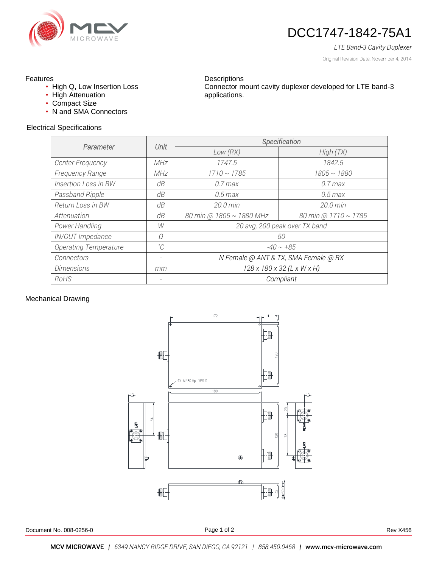

# DCC1747-1842-75A1

*LTE Band-3 Cavity Duplexer*

Original Revision Date: November 4, 2014

### Features

- High Q, Low Insertion Loss
- High Attenuation
- Compact Size
- N and SMA Connectors

#### **Descriptions** Connector mount cavity duplexer developed for LTE band-3 applications.

#### Electrical Specifications

| Parameter                    |                          | Specification                        |                      |
|------------------------------|--------------------------|--------------------------------------|----------------------|
|                              | Unit                     | Low(RX)                              | High(TX)             |
| Center Frequency             | MHz                      | 1747.5                               | 1842.5               |
| <b>Frequency Range</b>       | MHz                      | $1710 \sim 1785$                     | $1805 \sim 1880$     |
| Insertion Loss in BW         | dΒ                       | $0.7$ max                            | $0.7$ max            |
| Passband Ripple              | dB                       | $0.5$ max                            | $0.5$ max            |
| Return Loss in BW            | dB                       | 20.0 min                             | 20.0 min             |
| Attenuation                  | dB                       | 80 min @ 1805 ~ 1880 MHz             | 80 min @ 1710 ~ 1785 |
| Power Handling               | W                        | 20 avg, 200 peak over TX band        |                      |
| IN/OUT Impedance             | Ω                        | 50                                   |                      |
| <b>Operating Temperature</b> | $^{\circ}C$              | $-40 \sim +85$                       |                      |
| Connectors                   | -                        | N Female @ ANT & TX, SMA Female @ RX |                      |
| <b>Dimensions</b>            | mm                       | 128 x 180 x 32 (L x W x H)           |                      |
| RoHS                         | $\overline{\phantom{a}}$ | Compliant                            |                      |

#### Mechanical Drawing



Page 1 of 2